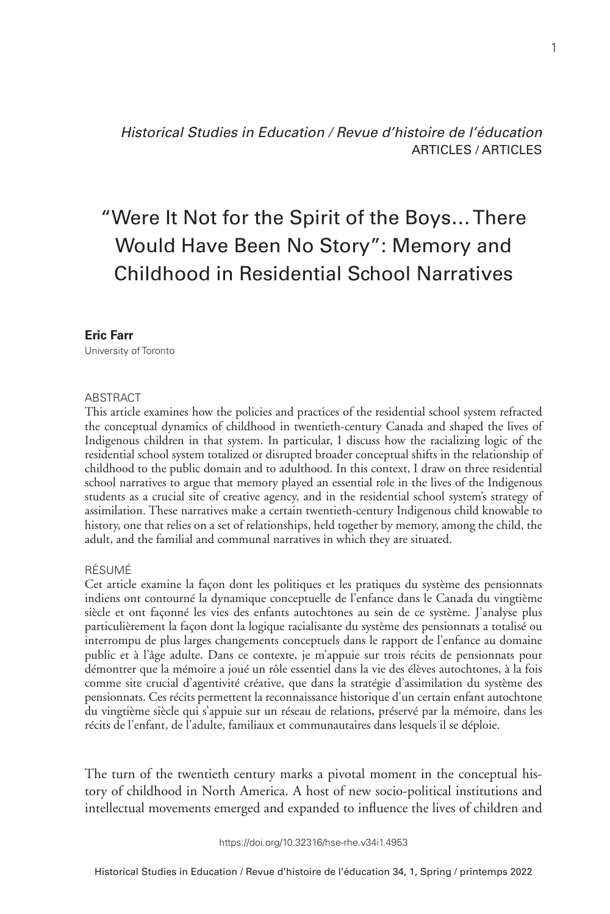*Historical Studies in Education / Revue d'histoire de l'éducation* ARTICLES / ARTICLES

# "Were It Not for the Spirit of the Boys… There Would Have Been No Story": Memory and Childhood in Residential School Narratives

#### **Eric Farr**

University of Toronto

#### ABSTRACT

This article examines how the policies and practices of the residential school system refracted the conceptual dynamics of childhood in twentieth-century Canada and shaped the lives of Indigenous children in that system. In particular, I discuss how the racializing logic of the residential school system totalized or disrupted broader conceptual shifts in the relationship of childhood to the public domain and to adulthood. In this context, I draw on three residential school narratives to argue that memory played an essential role in the lives of the Indigenous students as a crucial site of creative agency, and in the residential school system's strategy of assimilation. These narratives make a certain twentieth-century Indigenous child knowable to history, one that relies on a set of relationships, held together by memory, among the child, the adult, and the familial and communal narratives in which they are situated.

#### RÉSUMÉ

Cet article examine la façon dont les politiques et les pratiques du système des pensionnats indiens ont contourné la dynamique conceptuelle de l'enfance dans le Canada du vingtième siècle et ont façonné les vies des enfants autochtones au sein de ce système. J'analyse plus particulièrement la façon dont la logique racialisante du système des pensionnats a totalisé ou interrompu de plus larges changements conceptuels dans le rapport de l'enfance au domaine public et à l'âge adulte. Dans ce contexte, je m'appuie sur trois récits de pensionnats pour démontrer que la mémoire a joué un rôle essentiel dans la vie des élèves autochtones, à la fois comme site crucial d'agentivité créative, que dans la stratégie d'assimilation du système des pensionnats. Ces récits permettent la reconnaissance historique d'un certain enfant autochtone du vingtième siècle qui s'appuie sur un réseau de relations, préservé par la mémoire, dans les récits de l'enfant, de l'adulte, familiaux et communautaires dans lesquels il se déploie.

The turn of the twentieth century marks a pivotal moment in the conceptual history of childhood in North America. A host of new socio-political institutions and intellectual movements emerged and expanded to influence the lives of children and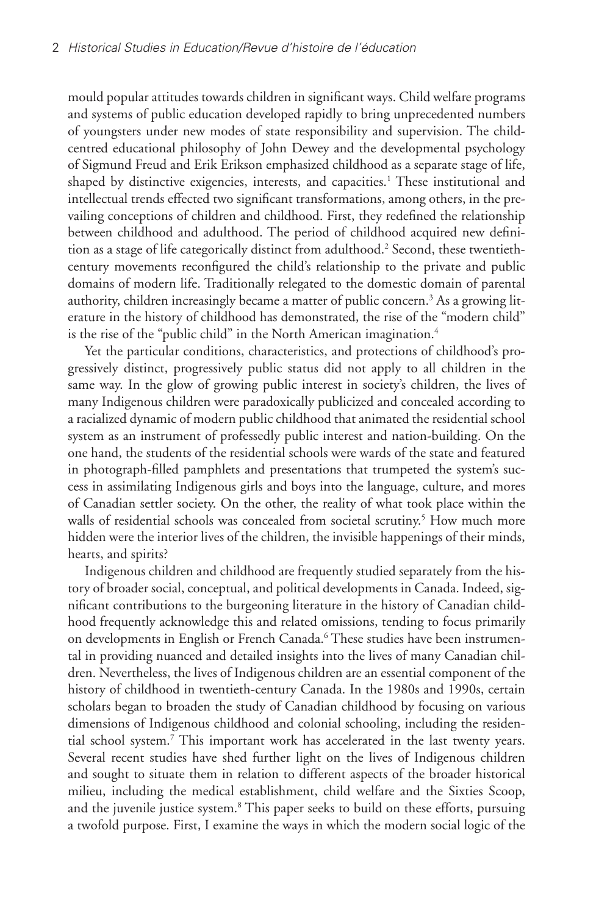mould popular attitudes towards children in significant ways. Child welfare programs and systems of public education developed rapidly to bring unprecedented numbers of youngsters under new modes of state responsibility and supervision. The childcentred educational philosophy of John Dewey and the developmental psychology of Sigmund Freud and Erik Erikson emphasized childhood as a separate stage of life, shaped by distinctive exigencies, interests, and capacities.<sup>1</sup> These institutional and intellectual trends effected two significant transformations, among others, in the prevailing conceptions of children and childhood. First, they redefined the relationship between childhood and adulthood. The period of childhood acquired new definition as a stage of life categorically distinct from adulthood.<sup>2</sup> Second, these twentiethcentury movements reconfigured the child's relationship to the private and public domains of modern life. Traditionally relegated to the domestic domain of parental authority, children increasingly became a matter of public concern.<sup>3</sup> As a growing literature in the history of childhood has demonstrated, the rise of the "modern child" is the rise of the "public child" in the North American imagination.<sup>4</sup>

Yet the particular conditions, characteristics, and protections of childhood's progressively distinct, progressively public status did not apply to all children in the same way. In the glow of growing public interest in society's children, the lives of many Indigenous children were paradoxically publicized and concealed according to a racialized dynamic of modern public childhood that animated the residential school system as an instrument of professedly public interest and nation-building. On the one hand, the students of the residential schools were wards of the state and featured in photograph-filled pamphlets and presentations that trumpeted the system's success in assimilating Indigenous girls and boys into the language, culture, and mores of Canadian settler society. On the other, the reality of what took place within the walls of residential schools was concealed from societal scrutiny.<sup>5</sup> How much more hidden were the interior lives of the children, the invisible happenings of their minds, hearts, and spirits?

Indigenous children and childhood are frequently studied separately from the history of broader social, conceptual, and political developments in Canada. Indeed, significant contributions to the burgeoning literature in the history of Canadian childhood frequently acknowledge this and related omissions, tending to focus primarily on developments in English or French Canada.<sup>6</sup> These studies have been instrumental in providing nuanced and detailed insights into the lives of many Canadian children. Nevertheless, the lives of Indigenous children are an essential component of the history of childhood in twentieth-century Canada. In the 1980s and 1990s, certain scholars began to broaden the study of Canadian childhood by focusing on various dimensions of Indigenous childhood and colonial schooling, including the residential school system.7 This important work has accelerated in the last twenty years. Several recent studies have shed further light on the lives of Indigenous children and sought to situate them in relation to different aspects of the broader historical milieu, including the medical establishment, child welfare and the Sixties Scoop, and the juvenile justice system.<sup>8</sup> This paper seeks to build on these efforts, pursuing a twofold purpose. First, I examine the ways in which the modern social logic of the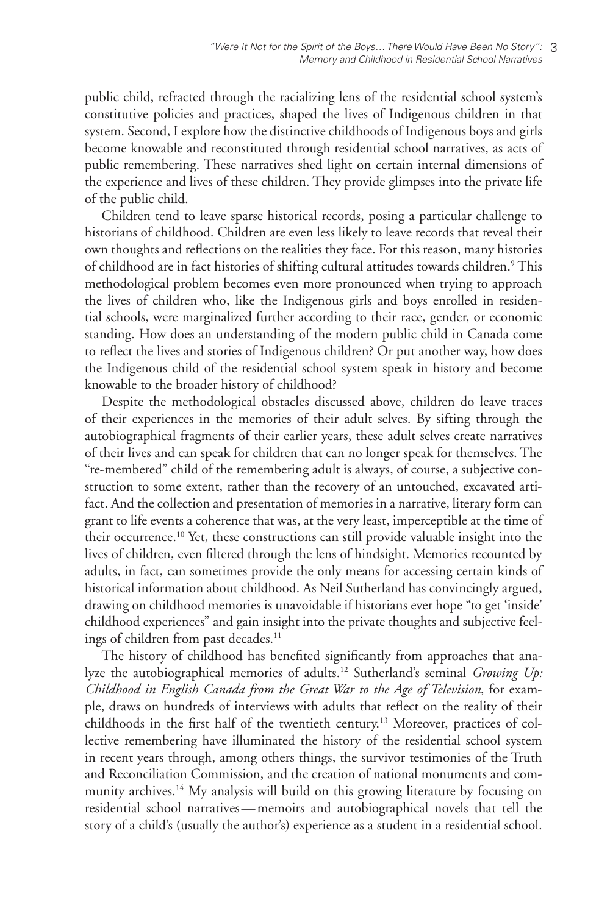public child, refracted through the racializing lens of the residential school system's constitutive policies and practices, shaped the lives of Indigenous children in that system. Second, I explore how the distinctive childhoods of Indigenous boys and girls become knowable and reconstituted through residential school narratives, as acts of public remembering. These narratives shed light on certain internal dimensions of the experience and lives of these children. They provide glimpses into the private life of the public child.

Children tend to leave sparse historical records, posing a particular challenge to historians of childhood. Children are even less likely to leave records that reveal their own thoughts and reflections on the realities they face. For this reason, many histories of childhood are in fact histories of shifting cultural attitudes towards children.<sup>9</sup> This methodological problem becomes even more pronounced when trying to approach the lives of children who, like the Indigenous girls and boys enrolled in residential schools, were marginalized further according to their race, gender, or economic standing. How does an understanding of the modern public child in Canada come to reflect the lives and stories of Indigenous children? Or put another way, how does the Indigenous child of the residential school system speak in history and become knowable to the broader history of childhood?

Despite the methodological obstacles discussed above, children do leave traces of their experiences in the memories of their adult selves. By sifting through the autobiographical fragments of their earlier years, these adult selves create narratives of their lives and can speak for children that can no longer speak for themselves. The "re-membered" child of the remembering adult is always, of course, a subjective construction to some extent, rather than the recovery of an untouched, excavated artifact. And the collection and presentation of memories in a narrative, literary form can grant to life events a coherence that was, at the very least, imperceptible at the time of their occurrence.10 Yet, these constructions can still provide valuable insight into the lives of children, even filtered through the lens of hindsight. Memories recounted by adults, in fact, can sometimes provide the only means for accessing certain kinds of historical information about childhood. As Neil Sutherland has convincingly argued, drawing on childhood memories is unavoidable if historians ever hope "to get 'inside' childhood experiences" and gain insight into the private thoughts and subjective feelings of children from past decades.<sup>11</sup>

The history of childhood has benefited significantly from approaches that analyze the autobiographical memories of adults.12 Sutherland's seminal *Growing Up: Childhood in English Canada from the Great War to the Age of Television*, for example, draws on hundreds of interviews with adults that reflect on the reality of their childhoods in the first half of the twentieth century.13 Moreover, practices of collective remembering have illuminated the history of the residential school system in recent years through, among others things, the survivor testimonies of the Truth and Reconciliation Commission, and the creation of national monuments and community archives.<sup>14</sup> My analysis will build on this growing literature by focusing on residential school narratives—memoirs and autobiographical novels that tell the story of a child's (usually the author's) experience as a student in a residential school.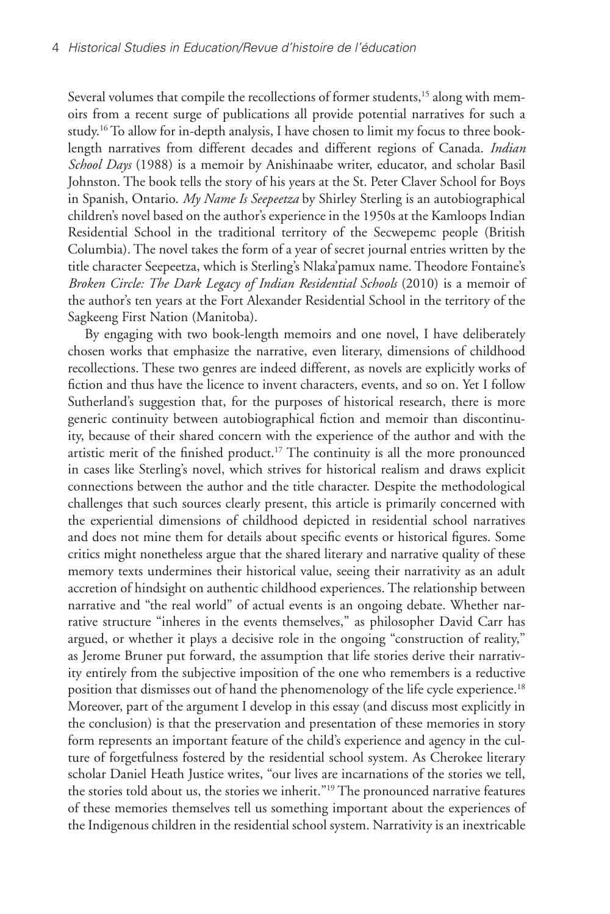Several volumes that compile the recollections of former students,<sup>15</sup> along with memoirs from a recent surge of publications all provide potential narratives for such a study.16 To allow for in-depth analysis, I have chosen to limit my focus to three booklength narratives from different decades and different regions of Canada. *Indian School Days* (1988) is a memoir by Anishinaabe writer, educator, and scholar Basil Johnston. The book tells the story of his years at the St. Peter Claver School for Boys in Spanish, Ontario. *My Name Is Seepeetza* by Shirley Sterling is an autobiographical children's novel based on the author's experience in the 1950s at the Kamloops Indian Residential School in the traditional territory of the Secwepemc people (British Columbia). The novel takes the form of a year of secret journal entries written by the title character Seepeetza, which is Sterling's Nlaka'pamux name. Theodore Fontaine's *Broken Circle: The Dark Legacy of Indian Residential Schools* (2010) is a memoir of the author's ten years at the Fort Alexander Residential School in the territory of the Sagkeeng First Nation (Manitoba).

By engaging with two book-length memoirs and one novel, I have deliberately chosen works that emphasize the narrative, even literary, dimensions of childhood recollections. These two genres are indeed different, as novels are explicitly works of fiction and thus have the licence to invent characters, events, and so on. Yet I follow Sutherland's suggestion that, for the purposes of historical research, there is more generic continuity between autobiographical fiction and memoir than discontinuity, because of their shared concern with the experience of the author and with the artistic merit of the finished product.<sup>17</sup> The continuity is all the more pronounced in cases like Sterling's novel, which strives for historical realism and draws explicit connections between the author and the title character. Despite the methodological challenges that such sources clearly present, this article is primarily concerned with the experiential dimensions of childhood depicted in residential school narratives and does not mine them for details about specific events or historical figures. Some critics might nonetheless argue that the shared literary and narrative quality of these memory texts undermines their historical value, seeing their narrativity as an adult accretion of hindsight on authentic childhood experiences. The relationship between narrative and "the real world" of actual events is an ongoing debate. Whether narrative structure "inheres in the events themselves," as philosopher David Carr has argued, or whether it plays a decisive role in the ongoing "construction of reality," as Jerome Bruner put forward, the assumption that life stories derive their narrativity entirely from the subjective imposition of the one who remembers is a reductive position that dismisses out of hand the phenomenology of the life cycle experience.<sup>18</sup> Moreover, part of the argument I develop in this essay (and discuss most explicitly in the conclusion) is that the preservation and presentation of these memories in story form represents an important feature of the child's experience and agency in the culture of forgetfulness fostered by the residential school system. As Cherokee literary scholar Daniel Heath Justice writes, "our lives are incarnations of the stories we tell, the stories told about us, the stories we inherit."19 The pronounced narrative features of these memories themselves tell us something important about the experiences of the Indigenous children in the residential school system. Narrativity is an inextricable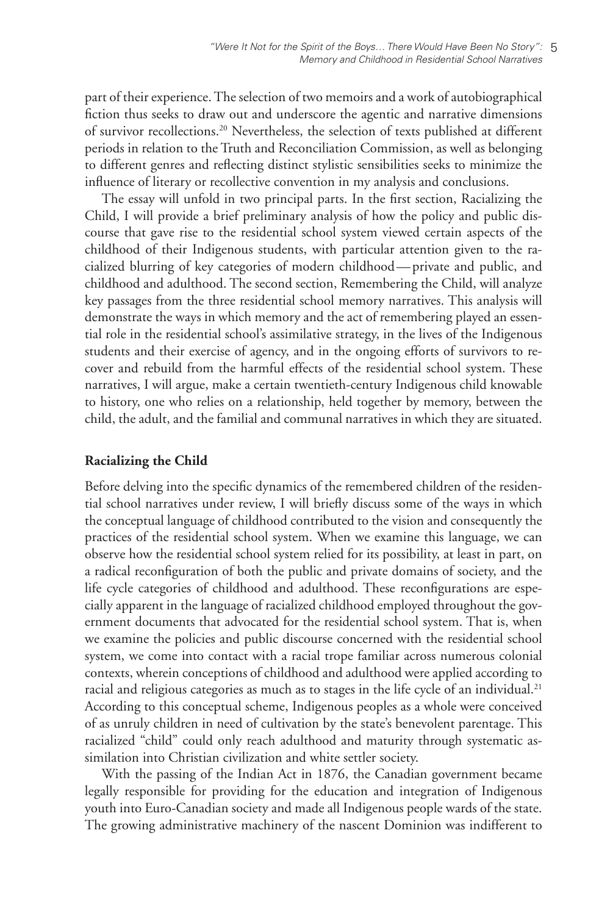part of their experience. The selection of two memoirs and a work of autobiographical fiction thus seeks to draw out and underscore the agentic and narrative dimensions of survivor recollections.20 Nevertheless, the selection of texts published at different periods in relation to the Truth and Reconciliation Commission, as well as belonging to different genres and reflecting distinct stylistic sensibilities seeks to minimize the influence of literary or recollective convention in my analysis and conclusions.

The essay will unfold in two principal parts. In the first section, Racializing the Child, I will provide a brief preliminary analysis of how the policy and public discourse that gave rise to the residential school system viewed certain aspects of the childhood of their Indigenous students, with particular attention given to the racialized blurring of key categories of modern childhood—private and public, and childhood and adulthood. The second section, Remembering the Child, will analyze key passages from the three residential school memory narratives. This analysis will demonstrate the ways in which memory and the act of remembering played an essential role in the residential school's assimilative strategy, in the lives of the Indigenous students and their exercise of agency, and in the ongoing efforts of survivors to recover and rebuild from the harmful effects of the residential school system. These narratives, I will argue, make a certain twentieth-century Indigenous child knowable to history, one who relies on a relationship, held together by memory, between the child, the adult, and the familial and communal narratives in which they are situated.

### **Racializing the Child**

Before delving into the specific dynamics of the remembered children of the residential school narratives under review, I will briefly discuss some of the ways in which the conceptual language of childhood contributed to the vision and consequently the practices of the residential school system. When we examine this language, we can observe how the residential school system relied for its possibility, at least in part, on a radical reconfiguration of both the public and private domains of society, and the life cycle categories of childhood and adulthood. These reconfigurations are especially apparent in the language of racialized childhood employed throughout the government documents that advocated for the residential school system. That is, when we examine the policies and public discourse concerned with the residential school system, we come into contact with a racial trope familiar across numerous colonial contexts, wherein conceptions of childhood and adulthood were applied according to racial and religious categories as much as to stages in the life cycle of an individual.<sup>21</sup> According to this conceptual scheme, Indigenous peoples as a whole were conceived of as unruly children in need of cultivation by the state's benevolent parentage. This racialized "child" could only reach adulthood and maturity through systematic assimilation into Christian civilization and white settler society.

With the passing of the Indian Act in 1876, the Canadian government became legally responsible for providing for the education and integration of Indigenous youth into Euro-Canadian society and made all Indigenous people wards of the state. The growing administrative machinery of the nascent Dominion was indifferent to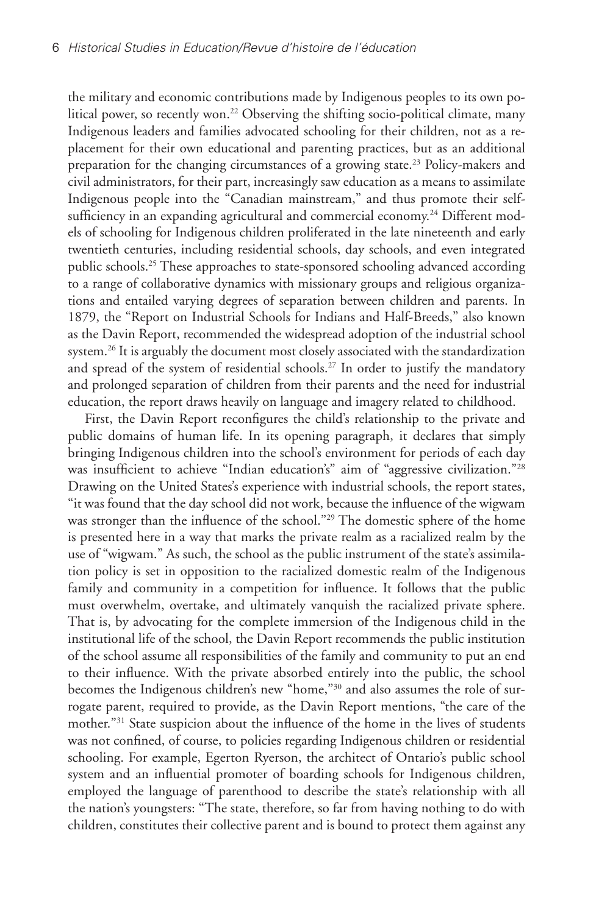the military and economic contributions made by Indigenous peoples to its own political power, so recently won.<sup>22</sup> Observing the shifting socio-political climate, many Indigenous leaders and families advocated schooling for their children, not as a replacement for their own educational and parenting practices, but as an additional preparation for the changing circumstances of a growing state.<sup>23</sup> Policy-makers and civil administrators, for their part, increasingly saw education as a means to assimilate Indigenous people into the "Canadian mainstream," and thus promote their selfsufficiency in an expanding agricultural and commercial economy.<sup>24</sup> Different models of schooling for Indigenous children proliferated in the late nineteenth and early twentieth centuries, including residential schools, day schools, and even integrated public schools.25 These approaches to state-sponsored schooling advanced according to a range of collaborative dynamics with missionary groups and religious organizations and entailed varying degrees of separation between children and parents. In 1879, the "Report on Industrial Schools for Indians and Half-Breeds," also known as the Davin Report, recommended the widespread adoption of the industrial school system.<sup>26</sup> It is arguably the document most closely associated with the standardization and spread of the system of residential schools.<sup>27</sup> In order to justify the mandatory and prolonged separation of children from their parents and the need for industrial education, the report draws heavily on language and imagery related to childhood.

First, the Davin Report reconfigures the child's relationship to the private and public domains of human life. In its opening paragraph, it declares that simply bringing Indigenous children into the school's environment for periods of each day was insufficient to achieve "Indian education's" aim of "aggressive civilization."28 Drawing on the United States's experience with industrial schools, the report states, "it was found that the day school did not work, because the influence of the wigwam was stronger than the influence of the school."<sup>29</sup> The domestic sphere of the home is presented here in a way that marks the private realm as a racialized realm by the use of "wigwam." As such, the school as the public instrument of the state's assimilation policy is set in opposition to the racialized domestic realm of the Indigenous family and community in a competition for influence. It follows that the public must overwhelm, overtake, and ultimately vanquish the racialized private sphere. That is, by advocating for the complete immersion of the Indigenous child in the institutional life of the school, the Davin Report recommends the public institution of the school assume all responsibilities of the family and community to put an end to their influence. With the private absorbed entirely into the public, the school becomes the Indigenous children's new "home,"30 and also assumes the role of surrogate parent, required to provide, as the Davin Report mentions, "the care of the mother."31 State suspicion about the influence of the home in the lives of students was not confined, of course, to policies regarding Indigenous children or residential schooling. For example, Egerton Ryerson, the architect of Ontario's public school system and an influential promoter of boarding schools for Indigenous children, employed the language of parenthood to describe the state's relationship with all the nation's youngsters: "The state, therefore, so far from having nothing to do with children, constitutes their collective parent and is bound to protect them against any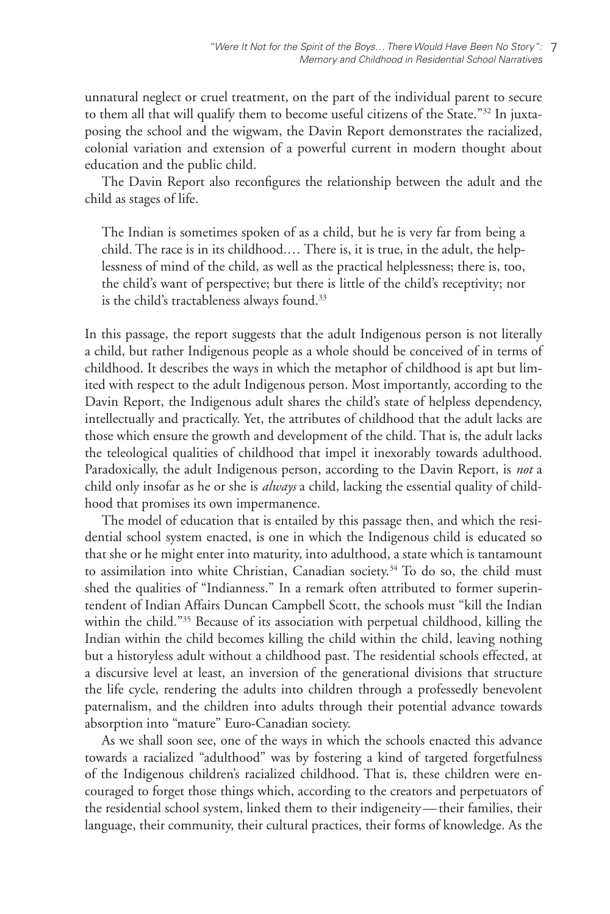unnatural neglect or cruel treatment, on the part of the individual parent to secure to them all that will qualify them to become useful citizens of the State."<sup>32</sup> In juxtaposing the school and the wigwam, the Davin Report demonstrates the racialized, colonial variation and extension of a powerful current in modern thought about education and the public child.

The Davin Report also reconfigures the relationship between the adult and the child as stages of life.

The Indian is sometimes spoken of as a child, but he is very far from being a child. The race is in its childhood.… There is, it is true, in the adult, the helplessness of mind of the child, as well as the practical helplessness; there is, too, the child's want of perspective; but there is little of the child's receptivity; nor is the child's tractableness always found.<sup>33</sup>

In this passage, the report suggests that the adult Indigenous person is not literally a child, but rather Indigenous people as a whole should be conceived of in terms of childhood. It describes the ways in which the metaphor of childhood is apt but limited with respect to the adult Indigenous person. Most importantly, according to the Davin Report, the Indigenous adult shares the child's state of helpless dependency, intellectually and practically. Yet, the attributes of childhood that the adult lacks are those which ensure the growth and development of the child. That is, the adult lacks the teleological qualities of childhood that impel it inexorably towards adulthood. Paradoxically, the adult Indigenous person, according to the Davin Report, is *not* a child only insofar as he or she is *always* a child, lacking the essential quality of childhood that promises its own impermanence.

The model of education that is entailed by this passage then, and which the residential school system enacted, is one in which the Indigenous child is educated so that she or he might enter into maturity, into adulthood, a state which is tantamount to assimilation into white Christian, Canadian society.<sup>34</sup> To do so, the child must shed the qualities of "Indianness." In a remark often attributed to former superintendent of Indian Affairs Duncan Campbell Scott, the schools must "kill the Indian within the child."<sup>35</sup> Because of its association with perpetual childhood, killing the Indian within the child becomes killing the child within the child, leaving nothing but a historyless adult without a childhood past. The residential schools effected, at a discursive level at least, an inversion of the generational divisions that structure the life cycle, rendering the adults into children through a professedly benevolent paternalism, and the children into adults through their potential advance towards absorption into "mature" Euro-Canadian society.

As we shall soon see, one of the ways in which the schools enacted this advance towards a racialized "adulthood" was by fostering a kind of targeted forgetfulness of the Indigenous children's racialized childhood. That is, these children were encouraged to forget those things which, according to the creators and perpetuators of the residential school system, linked them to their indigeneity—their families, their language, their community, their cultural practices, their forms of knowledge. As the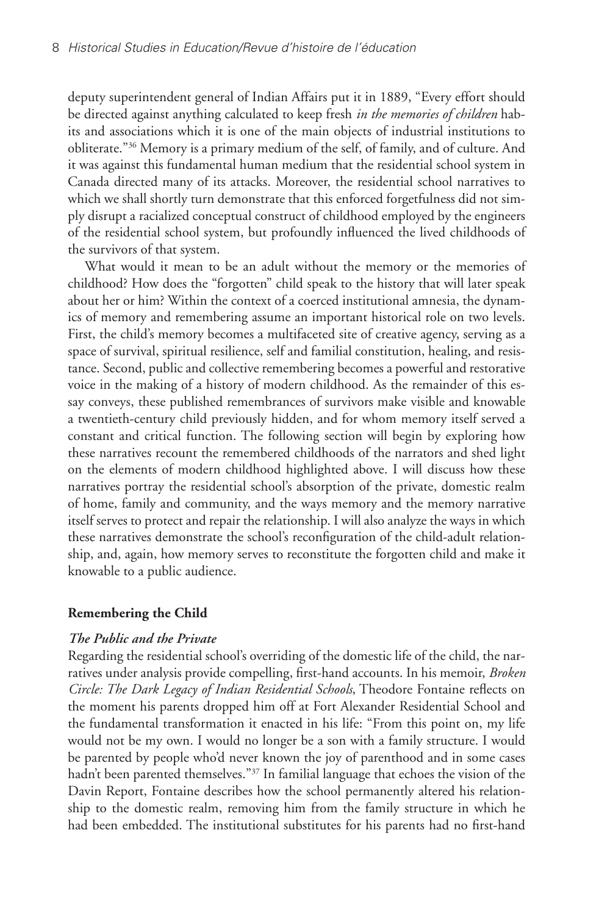deputy superintendent general of Indian Affairs put it in 1889, "Every effort should be directed against anything calculated to keep fresh *in the memories of children* habits and associations which it is one of the main objects of industrial institutions to obliterate."36 Memory is a primary medium of the self, of family, and of culture. And it was against this fundamental human medium that the residential school system in Canada directed many of its attacks. Moreover, the residential school narratives to which we shall shortly turn demonstrate that this enforced forgetfulness did not simply disrupt a racialized conceptual construct of childhood employed by the engineers of the residential school system, but profoundly influenced the lived childhoods of the survivors of that system.

What would it mean to be an adult without the memory or the memories of childhood? How does the "forgotten" child speak to the history that will later speak about her or him? Within the context of a coerced institutional amnesia, the dynamics of memory and remembering assume an important historical role on two levels. First, the child's memory becomes a multifaceted site of creative agency, serving as a space of survival, spiritual resilience, self and familial constitution, healing, and resistance. Second, public and collective remembering becomes a powerful and restorative voice in the making of a history of modern childhood. As the remainder of this essay conveys, these published remembrances of survivors make visible and knowable a twentieth-century child previously hidden, and for whom memory itself served a constant and critical function. The following section will begin by exploring how these narratives recount the remembered childhoods of the narrators and shed light on the elements of modern childhood highlighted above. I will discuss how these narratives portray the residential school's absorption of the private, domestic realm of home, family and community, and the ways memory and the memory narrative itself serves to protect and repair the relationship. I will also analyze the ways in which these narratives demonstrate the school's reconfiguration of the child-adult relationship, and, again, how memory serves to reconstitute the forgotten child and make it knowable to a public audience.

# **Remembering the Child**

#### *The Public and the Private*

Regarding the residential school's overriding of the domestic life of the child, the narratives under analysis provide compelling, first-hand accounts. In his memoir, *Broken Circle: The Dark Legacy of Indian Residential Schools*, Theodore Fontaine reflects on the moment his parents dropped him off at Fort Alexander Residential School and the fundamental transformation it enacted in his life: "From this point on, my life would not be my own. I would no longer be a son with a family structure. I would be parented by people who'd never known the joy of parenthood and in some cases hadn't been parented themselves."<sup>37</sup> In familial language that echoes the vision of the Davin Report, Fontaine describes how the school permanently altered his relationship to the domestic realm, removing him from the family structure in which he had been embedded. The institutional substitutes for his parents had no first-hand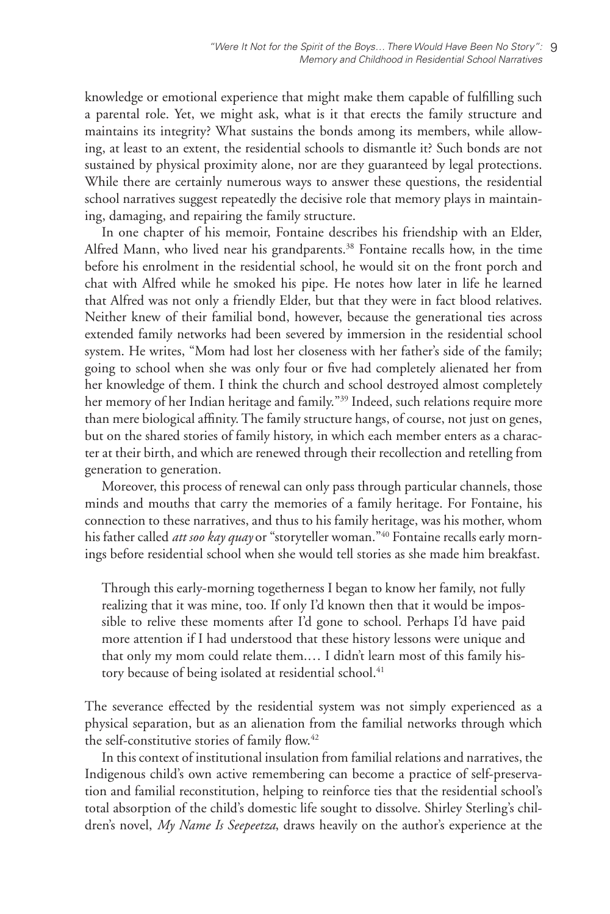knowledge or emotional experience that might make them capable of fulfilling such a parental role. Yet, we might ask, what is it that erects the family structure and maintains its integrity? What sustains the bonds among its members, while allowing, at least to an extent, the residential schools to dismantle it? Such bonds are not sustained by physical proximity alone, nor are they guaranteed by legal protections. While there are certainly numerous ways to answer these questions, the residential school narratives suggest repeatedly the decisive role that memory plays in maintaining, damaging, and repairing the family structure.

In one chapter of his memoir, Fontaine describes his friendship with an Elder, Alfred Mann, who lived near his grandparents.<sup>38</sup> Fontaine recalls how, in the time before his enrolment in the residential school, he would sit on the front porch and chat with Alfred while he smoked his pipe. He notes how later in life he learned that Alfred was not only a friendly Elder, but that they were in fact blood relatives. Neither knew of their familial bond, however, because the generational ties across extended family networks had been severed by immersion in the residential school system. He writes, "Mom had lost her closeness with her father's side of the family; going to school when she was only four or five had completely alienated her from her knowledge of them. I think the church and school destroyed almost completely her memory of her Indian heritage and family."<sup>39</sup> Indeed, such relations require more than mere biological affinity. The family structure hangs, of course, not just on genes, but on the shared stories of family history, in which each member enters as a character at their birth, and which are renewed through their recollection and retelling from generation to generation.

Moreover, this process of renewal can only pass through particular channels, those minds and mouths that carry the memories of a family heritage. For Fontaine, his connection to these narratives, and thus to his family heritage, was his mother, whom his father called *att soo kay quay* or "storyteller woman."40 Fontaine recalls early mornings before residential school when she would tell stories as she made him breakfast.

Through this early-morning togetherness I began to know her family, not fully realizing that it was mine, too. If only I'd known then that it would be impossible to relive these moments after I'd gone to school. Perhaps I'd have paid more attention if I had understood that these history lessons were unique and that only my mom could relate them.… I didn't learn most of this family history because of being isolated at residential school.<sup>41</sup>

The severance effected by the residential system was not simply experienced as a physical separation, but as an alienation from the familial networks through which the self-constitutive stories of family flow.<sup>42</sup>

In this context of institutional insulation from familial relations and narratives, the Indigenous child's own active remembering can become a practice of self-preservation and familial reconstitution, helping to reinforce ties that the residential school's total absorption of the child's domestic life sought to dissolve. Shirley Sterling's children's novel, *My Name Is Seepeetza*, draws heavily on the author's experience at the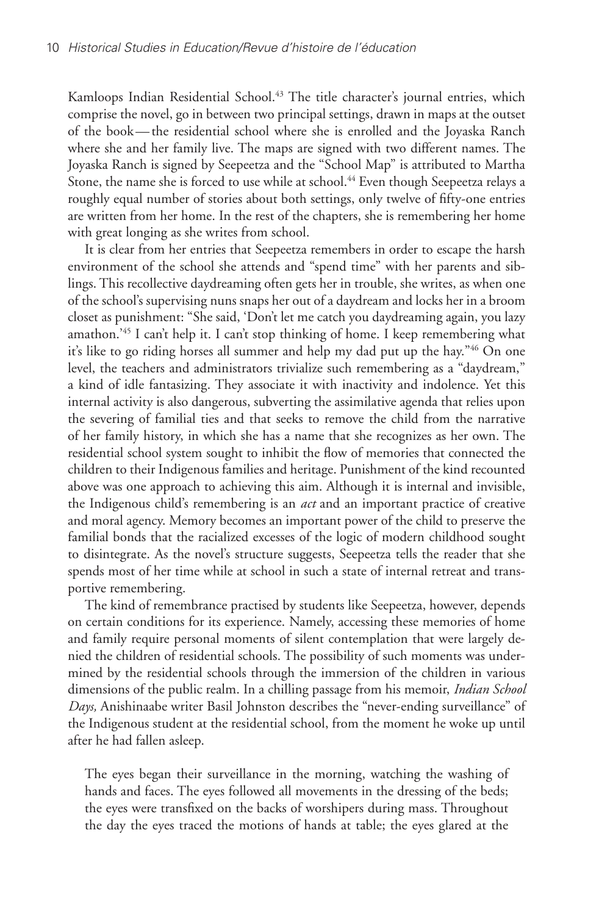Kamloops Indian Residential School.<sup>43</sup> The title character's journal entries, which comprise the novel, go in between two principal settings, drawn in maps at the outset of the book—the residential school where she is enrolled and the Joyaska Ranch where she and her family live. The maps are signed with two different names. The Joyaska Ranch is signed by Seepeetza and the "School Map" is attributed to Martha Stone, the name she is forced to use while at school.<sup>44</sup> Even though Seepeetza relays a roughly equal number of stories about both settings, only twelve of fifty-one entries are written from her home. In the rest of the chapters, she is remembering her home with great longing as she writes from school.

It is clear from her entries that Seepeetza remembers in order to escape the harsh environment of the school she attends and "spend time" with her parents and siblings. This recollective daydreaming often gets her in trouble, she writes, as when one of the school's supervising nuns snaps her out of a daydream and locks her in a broom closet as punishment: "She said, 'Don't let me catch you daydreaming again, you lazy amathon.'45 I can't help it. I can't stop thinking of home. I keep remembering what it's like to go riding horses all summer and help my dad put up the hay."46 On one level, the teachers and administrators trivialize such remembering as a "daydream," a kind of idle fantasizing. They associate it with inactivity and indolence. Yet this internal activity is also dangerous, subverting the assimilative agenda that relies upon the severing of familial ties and that seeks to remove the child from the narrative of her family history, in which she has a name that she recognizes as her own. The residential school system sought to inhibit the flow of memories that connected the children to their Indigenous families and heritage. Punishment of the kind recounted above was one approach to achieving this aim. Although it is internal and invisible, the Indigenous child's remembering is an *act* and an important practice of creative and moral agency. Memory becomes an important power of the child to preserve the familial bonds that the racialized excesses of the logic of modern childhood sought to disintegrate. As the novel's structure suggests, Seepeetza tells the reader that she spends most of her time while at school in such a state of internal retreat and transportive remembering.

The kind of remembrance practised by students like Seepeetza, however, depends on certain conditions for its experience. Namely, accessing these memories of home and family require personal moments of silent contemplation that were largely denied the children of residential schools. The possibility of such moments was undermined by the residential schools through the immersion of the children in various dimensions of the public realm. In a chilling passage from his memoir, *Indian School Days,* Anishinaabe writer Basil Johnston describes the "never-ending surveillance" of the Indigenous student at the residential school, from the moment he woke up until after he had fallen asleep.

The eyes began their surveillance in the morning, watching the washing of hands and faces. The eyes followed all movements in the dressing of the beds; the eyes were transfixed on the backs of worshipers during mass. Throughout the day the eyes traced the motions of hands at table; the eyes glared at the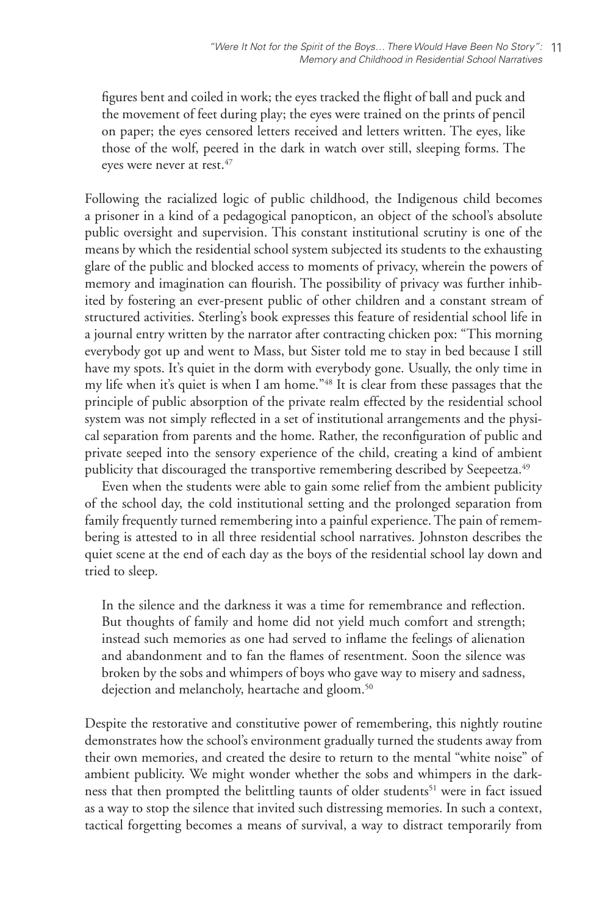figures bent and coiled in work; the eyes tracked the flight of ball and puck and the movement of feet during play; the eyes were trained on the prints of pencil on paper; the eyes censored letters received and letters written. The eyes, like those of the wolf, peered in the dark in watch over still, sleeping forms. The eyes were never at rest.<sup>47</sup>

Following the racialized logic of public childhood, the Indigenous child becomes a prisoner in a kind of a pedagogical panopticon, an object of the school's absolute public oversight and supervision. This constant institutional scrutiny is one of the means by which the residential school system subjected its students to the exhausting glare of the public and blocked access to moments of privacy, wherein the powers of memory and imagination can flourish. The possibility of privacy was further inhibited by fostering an ever-present public of other children and a constant stream of structured activities. Sterling's book expresses this feature of residential school life in a journal entry written by the narrator after contracting chicken pox: "This morning everybody got up and went to Mass, but Sister told me to stay in bed because I still have my spots. It's quiet in the dorm with everybody gone. Usually, the only time in my life when it's quiet is when I am home."48 It is clear from these passages that the principle of public absorption of the private realm effected by the residential school system was not simply reflected in a set of institutional arrangements and the physical separation from parents and the home. Rather, the reconfiguration of public and private seeped into the sensory experience of the child, creating a kind of ambient publicity that discouraged the transportive remembering described by Seepeetza.<sup>49</sup>

Even when the students were able to gain some relief from the ambient publicity of the school day, the cold institutional setting and the prolonged separation from family frequently turned remembering into a painful experience. The pain of remembering is attested to in all three residential school narratives. Johnston describes the quiet scene at the end of each day as the boys of the residential school lay down and tried to sleep.

In the silence and the darkness it was a time for remembrance and reflection. But thoughts of family and home did not yield much comfort and strength; instead such memories as one had served to inflame the feelings of alienation and abandonment and to fan the flames of resentment. Soon the silence was broken by the sobs and whimpers of boys who gave way to misery and sadness, dejection and melancholy, heartache and gloom.<sup>50</sup>

Despite the restorative and constitutive power of remembering, this nightly routine demonstrates how the school's environment gradually turned the students away from their own memories, and created the desire to return to the mental "white noise" of ambient publicity. We might wonder whether the sobs and whimpers in the darkness that then prompted the belittling taunts of older students<sup>51</sup> were in fact issued as a way to stop the silence that invited such distressing memories. In such a context, tactical forgetting becomes a means of survival, a way to distract temporarily from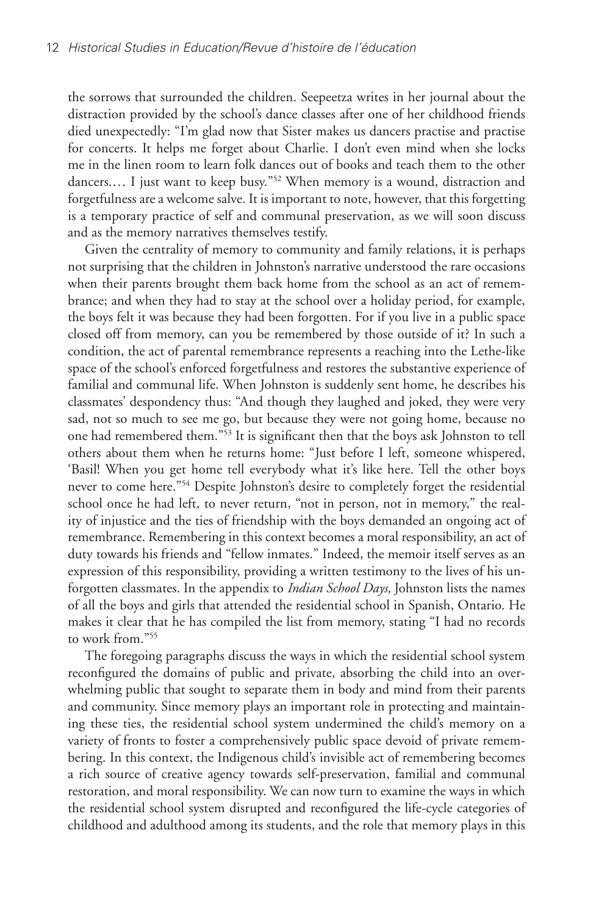the sorrows that surrounded the children. Seepeetza writes in her journal about the distraction provided by the school's dance classes after one of her childhood friends died unexpectedly: "I'm glad now that Sister makes us dancers practise and practise for concerts. It helps me forget about Charlie. I don't even mind when she locks me in the linen room to learn folk dances out of books and teach them to the other dancers.… I just want to keep busy."52 When memory is a wound, distraction and forgetfulness are a welcome salve. It is important to note, however, that this forgetting is a temporary practice of self and communal preservation, as we will soon discuss and as the memory narratives themselves testify.

Given the centrality of memory to community and family relations, it is perhaps not surprising that the children in Johnston's narrative understood the rare occasions when their parents brought them back home from the school as an act of remembrance; and when they had to stay at the school over a holiday period, for example, the boys felt it was because they had been forgotten. For if you live in a public space closed off from memory, can you be remembered by those outside of it? In such a condition, the act of parental remembrance represents a reaching into the Lethe-like space of the school's enforced forgetfulness and restores the substantive experience of familial and communal life. When Johnston is suddenly sent home, he describes his classmates' despondency thus: "And though they laughed and joked, they were very sad, not so much to see me go, but because they were not going home, because no one had remembered them."53 It is significant then that the boys ask Johnston to tell others about them when he returns home: "Just before I left, someone whispered, 'Basil! When you get home tell everybody what it's like here. Tell the other boys never to come here."54 Despite Johnston's desire to completely forget the residential school once he had left, to never return, "not in person, not in memory," the reality of injustice and the ties of friendship with the boys demanded an ongoing act of remembrance. Remembering in this context becomes a moral responsibility, an act of duty towards his friends and "fellow inmates." Indeed, the memoir itself serves as an expression of this responsibility, providing a written testimony to the lives of his unforgotten classmates. In the appendix to *Indian School Days,* Johnston lists the names of all the boys and girls that attended the residential school in Spanish, Ontario. He makes it clear that he has compiled the list from memory, stating "I had no records to work from."55

The foregoing paragraphs discuss the ways in which the residential school system reconfigured the domains of public and private, absorbing the child into an overwhelming public that sought to separate them in body and mind from their parents and community. Since memory plays an important role in protecting and maintaining these ties, the residential school system undermined the child's memory on a variety of fronts to foster a comprehensively public space devoid of private remembering. In this context, the Indigenous child's invisible act of remembering becomes a rich source of creative agency towards self-preservation, familial and communal restoration, and moral responsibility. We can now turn to examine the ways in which the residential school system disrupted and reconfigured the life-cycle categories of childhood and adulthood among its students, and the role that memory plays in this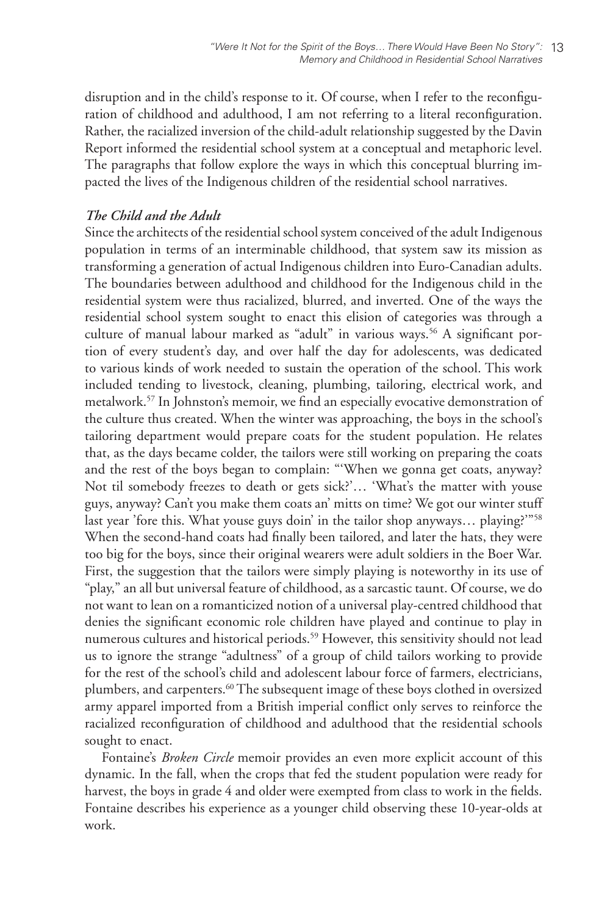disruption and in the child's response to it. Of course, when I refer to the reconfiguration of childhood and adulthood, I am not referring to a literal reconfiguration. Rather, the racialized inversion of the child-adult relationship suggested by the Davin Report informed the residential school system at a conceptual and metaphoric level. The paragraphs that follow explore the ways in which this conceptual blurring impacted the lives of the Indigenous children of the residential school narratives.

### *The Child and the Adult*

Since the architects of the residential school system conceived of the adult Indigenous population in terms of an interminable childhood, that system saw its mission as transforming a generation of actual Indigenous children into Euro-Canadian adults. The boundaries between adulthood and childhood for the Indigenous child in the residential system were thus racialized, blurred, and inverted. One of the ways the residential school system sought to enact this elision of categories was through a culture of manual labour marked as "adult" in various ways.<sup>56</sup> A significant portion of every student's day, and over half the day for adolescents, was dedicated to various kinds of work needed to sustain the operation of the school. This work included tending to livestock, cleaning, plumbing, tailoring, electrical work, and metalwork.57 In Johnston's memoir, we find an especially evocative demonstration of the culture thus created. When the winter was approaching, the boys in the school's tailoring department would prepare coats for the student population. He relates that, as the days became colder, the tailors were still working on preparing the coats and the rest of the boys began to complain: "'When we gonna get coats, anyway? Not til somebody freezes to death or gets sick?'… 'What's the matter with youse guys, anyway? Can't you make them coats an' mitts on time? We got our winter stuff last year 'fore this. What youse guys doin' in the tailor shop anyways... playing?"<sup>58</sup> When the second-hand coats had finally been tailored, and later the hats, they were too big for the boys, since their original wearers were adult soldiers in the Boer War. First, the suggestion that the tailors were simply playing is noteworthy in its use of "play," an all but universal feature of childhood, as a sarcastic taunt. Of course, we do not want to lean on a romanticized notion of a universal play-centred childhood that denies the significant economic role children have played and continue to play in numerous cultures and historical periods.<sup>59</sup> However, this sensitivity should not lead us to ignore the strange "adultness" of a group of child tailors working to provide for the rest of the school's child and adolescent labour force of farmers, electricians, plumbers, and carpenters.<sup>60</sup> The subsequent image of these boys clothed in oversized army apparel imported from a British imperial conflict only serves to reinforce the racialized reconfiguration of childhood and adulthood that the residential schools sought to enact.

Fontaine's *Broken Circle* memoir provides an even more explicit account of this dynamic. In the fall, when the crops that fed the student population were ready for harvest, the boys in grade 4 and older were exempted from class to work in the fields. Fontaine describes his experience as a younger child observing these 10-year-olds at work.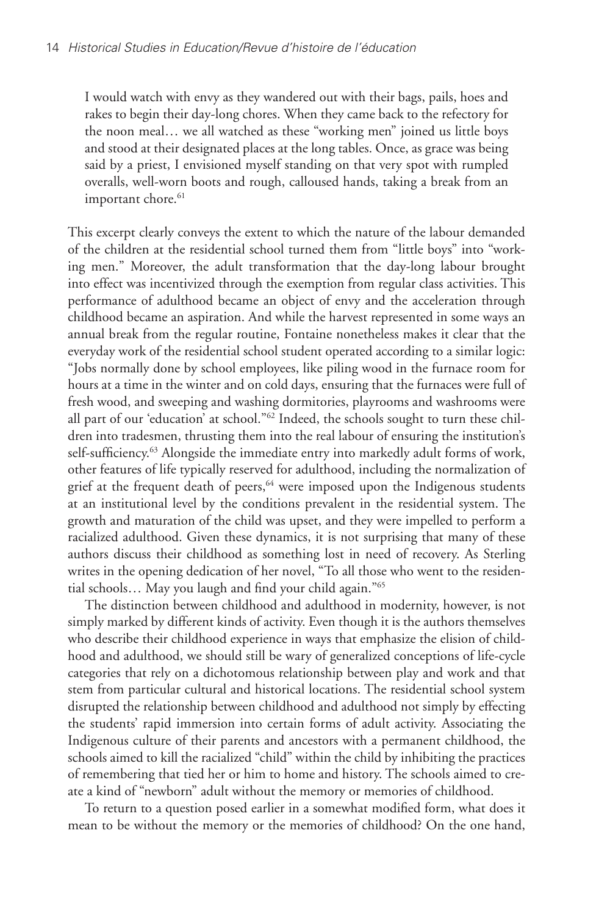I would watch with envy as they wandered out with their bags, pails, hoes and rakes to begin their day-long chores. When they came back to the refectory for the noon meal… we all watched as these "working men" joined us little boys and stood at their designated places at the long tables. Once, as grace was being said by a priest, I envisioned myself standing on that very spot with rumpled overalls, well-worn boots and rough, calloused hands, taking a break from an important chore.<sup>61</sup>

This excerpt clearly conveys the extent to which the nature of the labour demanded of the children at the residential school turned them from "little boys" into "working men." Moreover, the adult transformation that the day-long labour brought into effect was incentivized through the exemption from regular class activities. This performance of adulthood became an object of envy and the acceleration through childhood became an aspiration. And while the harvest represented in some ways an annual break from the regular routine, Fontaine nonetheless makes it clear that the everyday work of the residential school student operated according to a similar logic: "Jobs normally done by school employees, like piling wood in the furnace room for hours at a time in the winter and on cold days, ensuring that the furnaces were full of fresh wood, and sweeping and washing dormitories, playrooms and washrooms were all part of our 'education' at school."62 Indeed, the schools sought to turn these children into tradesmen, thrusting them into the real labour of ensuring the institution's self-sufficiency.<sup>63</sup> Alongside the immediate entry into markedly adult forms of work, other features of life typically reserved for adulthood, including the normalization of grief at the frequent death of peers,<sup>64</sup> were imposed upon the Indigenous students at an institutional level by the conditions prevalent in the residential system. The growth and maturation of the child was upset, and they were impelled to perform a racialized adulthood. Given these dynamics, it is not surprising that many of these authors discuss their childhood as something lost in need of recovery. As Sterling writes in the opening dedication of her novel, "To all those who went to the residential schools… May you laugh and find your child again."65

The distinction between childhood and adulthood in modernity, however, is not simply marked by different kinds of activity. Even though it is the authors themselves who describe their childhood experience in ways that emphasize the elision of childhood and adulthood, we should still be wary of generalized conceptions of life-cycle categories that rely on a dichotomous relationship between play and work and that stem from particular cultural and historical locations. The residential school system disrupted the relationship between childhood and adulthood not simply by effecting the students' rapid immersion into certain forms of adult activity. Associating the Indigenous culture of their parents and ancestors with a permanent childhood, the schools aimed to kill the racialized "child" within the child by inhibiting the practices of remembering that tied her or him to home and history. The schools aimed to create a kind of "newborn" adult without the memory or memories of childhood.

To return to a question posed earlier in a somewhat modified form, what does it mean to be without the memory or the memories of childhood? On the one hand,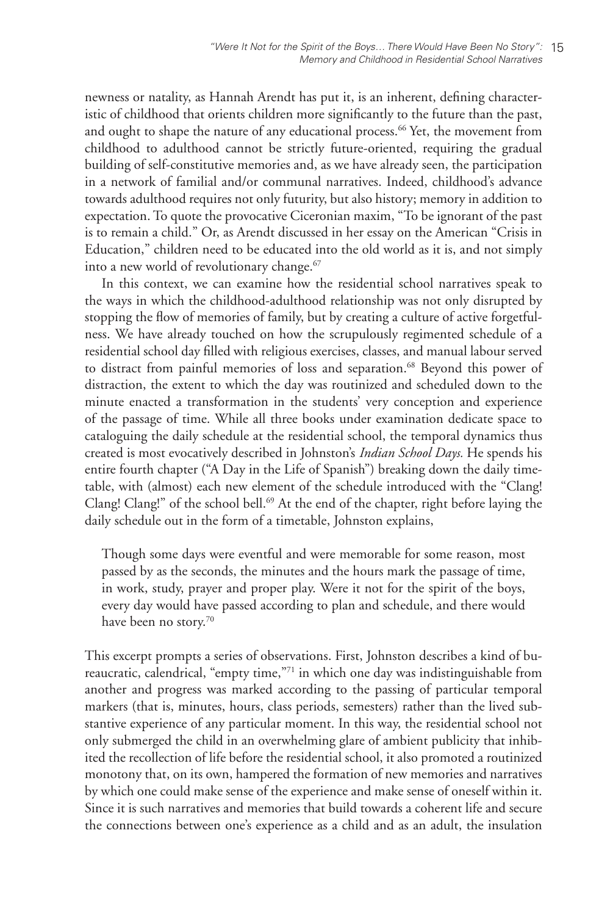newness or natality, as Hannah Arendt has put it, is an inherent, defining characteristic of childhood that orients children more significantly to the future than the past, and ought to shape the nature of any educational process.<sup>66</sup> Yet, the movement from childhood to adulthood cannot be strictly future-oriented, requiring the gradual building of self-constitutive memories and, as we have already seen, the participation in a network of familial and/or communal narratives. Indeed, childhood's advance towards adulthood requires not only futurity, but also history; memory in addition to expectation. To quote the provocative Ciceronian maxim, "To be ignorant of the past is to remain a child." Or, as Arendt discussed in her essay on the American "Crisis in Education," children need to be educated into the old world as it is, and not simply into a new world of revolutionary change.<sup>67</sup>

In this context, we can examine how the residential school narratives speak to the ways in which the childhood-adulthood relationship was not only disrupted by stopping the flow of memories of family, but by creating a culture of active forgetfulness. We have already touched on how the scrupulously regimented schedule of a residential school day filled with religious exercises, classes, and manual labour served to distract from painful memories of loss and separation.<sup>68</sup> Beyond this power of distraction, the extent to which the day was routinized and scheduled down to the minute enacted a transformation in the students' very conception and experience of the passage of time. While all three books under examination dedicate space to cataloguing the daily schedule at the residential school, the temporal dynamics thus created is most evocatively described in Johnston's *Indian School Days.* He spends his entire fourth chapter ("A Day in the Life of Spanish") breaking down the daily timetable, with (almost) each new element of the schedule introduced with the "Clang! Clang! Clang!" of the school bell.<sup>69</sup> At the end of the chapter, right before laying the daily schedule out in the form of a timetable, Johnston explains,

Though some days were eventful and were memorable for some reason, most passed by as the seconds, the minutes and the hours mark the passage of time, in work, study, prayer and proper play. Were it not for the spirit of the boys, every day would have passed according to plan and schedule, and there would have been no story.<sup>70</sup>

This excerpt prompts a series of observations. First, Johnston describes a kind of bureaucratic, calendrical, "empty time,"<sup>71</sup> in which one day was indistinguishable from another and progress was marked according to the passing of particular temporal markers (that is, minutes, hours, class periods, semesters) rather than the lived substantive experience of any particular moment. In this way, the residential school not only submerged the child in an overwhelming glare of ambient publicity that inhibited the recollection of life before the residential school, it also promoted a routinized monotony that, on its own, hampered the formation of new memories and narratives by which one could make sense of the experience and make sense of oneself within it. Since it is such narratives and memories that build towards a coherent life and secure the connections between one's experience as a child and as an adult, the insulation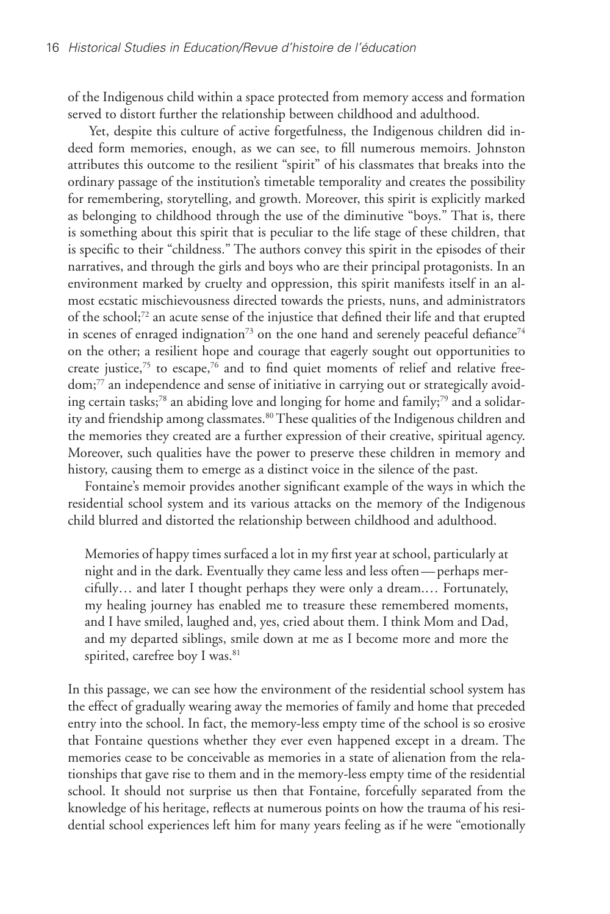of the Indigenous child within a space protected from memory access and formation served to distort further the relationship between childhood and adulthood.

 Yet, despite this culture of active forgetfulness, the Indigenous children did indeed form memories, enough, as we can see, to fill numerous memoirs. Johnston attributes this outcome to the resilient "spirit" of his classmates that breaks into the ordinary passage of the institution's timetable temporality and creates the possibility for remembering, storytelling, and growth. Moreover, this spirit is explicitly marked as belonging to childhood through the use of the diminutive "boys." That is, there is something about this spirit that is peculiar to the life stage of these children, that is specific to their "childness." The authors convey this spirit in the episodes of their narratives, and through the girls and boys who are their principal protagonists. In an environment marked by cruelty and oppression, this spirit manifests itself in an almost ecstatic mischievousness directed towards the priests, nuns, and administrators of the school;72 an acute sense of the injustice that defined their life and that erupted in scenes of enraged indignation<sup>73</sup> on the one hand and serenely peaceful defiance<sup>74</sup> on the other; a resilient hope and courage that eagerly sought out opportunities to create justice, $75$  to escape, $76$  and to find quiet moments of relief and relative freedom;77 an independence and sense of initiative in carrying out or strategically avoiding certain tasks;78 an abiding love and longing for home and family;79 and a solidarity and friendship among classmates.<sup>80</sup> These qualities of the Indigenous children and the memories they created are a further expression of their creative, spiritual agency. Moreover, such qualities have the power to preserve these children in memory and history, causing them to emerge as a distinct voice in the silence of the past.

Fontaine's memoir provides another significant example of the ways in which the residential school system and its various attacks on the memory of the Indigenous child blurred and distorted the relationship between childhood and adulthood.

Memories of happy times surfaced a lot in my first year at school, particularly at night and in the dark. Eventually they came less and less often—perhaps mercifully… and later I thought perhaps they were only a dream.… Fortunately, my healing journey has enabled me to treasure these remembered moments, and I have smiled, laughed and, yes, cried about them. I think Mom and Dad, and my departed siblings, smile down at me as I become more and more the spirited, carefree boy I was.<sup>81</sup>

In this passage, we can see how the environment of the residential school system has the effect of gradually wearing away the memories of family and home that preceded entry into the school. In fact, the memory-less empty time of the school is so erosive that Fontaine questions whether they ever even happened except in a dream. The memories cease to be conceivable as memories in a state of alienation from the relationships that gave rise to them and in the memory-less empty time of the residential school. It should not surprise us then that Fontaine, forcefully separated from the knowledge of his heritage, reflects at numerous points on how the trauma of his residential school experiences left him for many years feeling as if he were "emotionally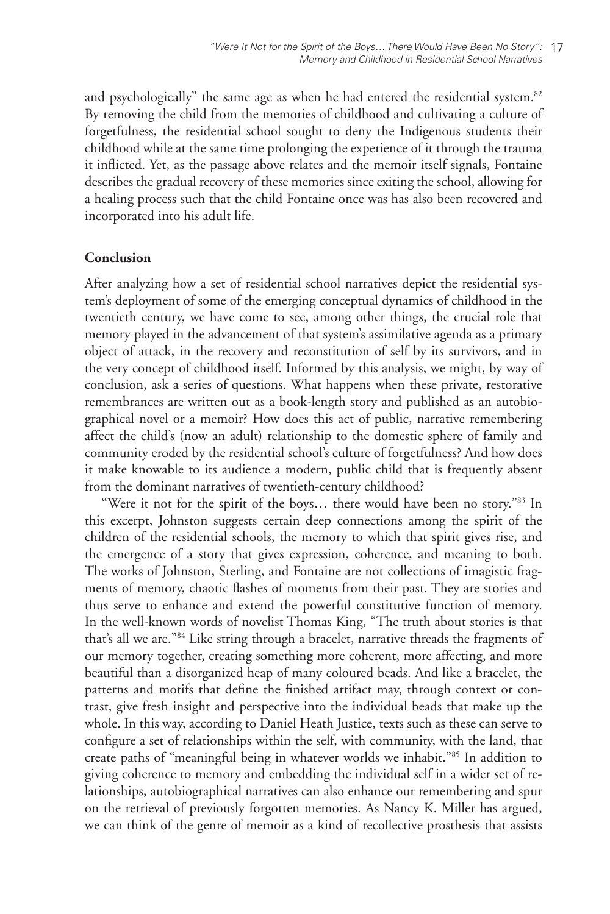and psychologically" the same age as when he had entered the residential system.<sup>82</sup> By removing the child from the memories of childhood and cultivating a culture of forgetfulness, the residential school sought to deny the Indigenous students their childhood while at the same time prolonging the experience of it through the trauma it inflicted. Yet, as the passage above relates and the memoir itself signals, Fontaine describes the gradual recovery of these memories since exiting the school, allowing for a healing process such that the child Fontaine once was has also been recovered and incorporated into his adult life.

# **Conclusion**

After analyzing how a set of residential school narratives depict the residential system's deployment of some of the emerging conceptual dynamics of childhood in the twentieth century, we have come to see, among other things, the crucial role that memory played in the advancement of that system's assimilative agenda as a primary object of attack, in the recovery and reconstitution of self by its survivors, and in the very concept of childhood itself. Informed by this analysis, we might, by way of conclusion, ask a series of questions. What happens when these private, restorative remembrances are written out as a book-length story and published as an autobiographical novel or a memoir? How does this act of public, narrative remembering affect the child's (now an adult) relationship to the domestic sphere of family and community eroded by the residential school's culture of forgetfulness? And how does it make knowable to its audience a modern, public child that is frequently absent from the dominant narratives of twentieth-century childhood?

"Were it not for the spirit of the boys... there would have been no story."83 In this excerpt, Johnston suggests certain deep connections among the spirit of the children of the residential schools, the memory to which that spirit gives rise, and the emergence of a story that gives expression, coherence, and meaning to both. The works of Johnston, Sterling, and Fontaine are not collections of imagistic fragments of memory, chaotic flashes of moments from their past. They are stories and thus serve to enhance and extend the powerful constitutive function of memory. In the well-known words of novelist Thomas King, "The truth about stories is that that's all we are."84 Like string through a bracelet, narrative threads the fragments of our memory together, creating something more coherent, more affecting, and more beautiful than a disorganized heap of many coloured beads. And like a bracelet, the patterns and motifs that define the finished artifact may, through context or contrast, give fresh insight and perspective into the individual beads that make up the whole. In this way, according to Daniel Heath Justice, texts such as these can serve to configure a set of relationships within the self, with community, with the land, that create paths of "meaningful being in whatever worlds we inhabit."85 In addition to giving coherence to memory and embedding the individual self in a wider set of relationships, autobiographical narratives can also enhance our remembering and spur on the retrieval of previously forgotten memories. As Nancy K. Miller has argued, we can think of the genre of memoir as a kind of recollective prosthesis that assists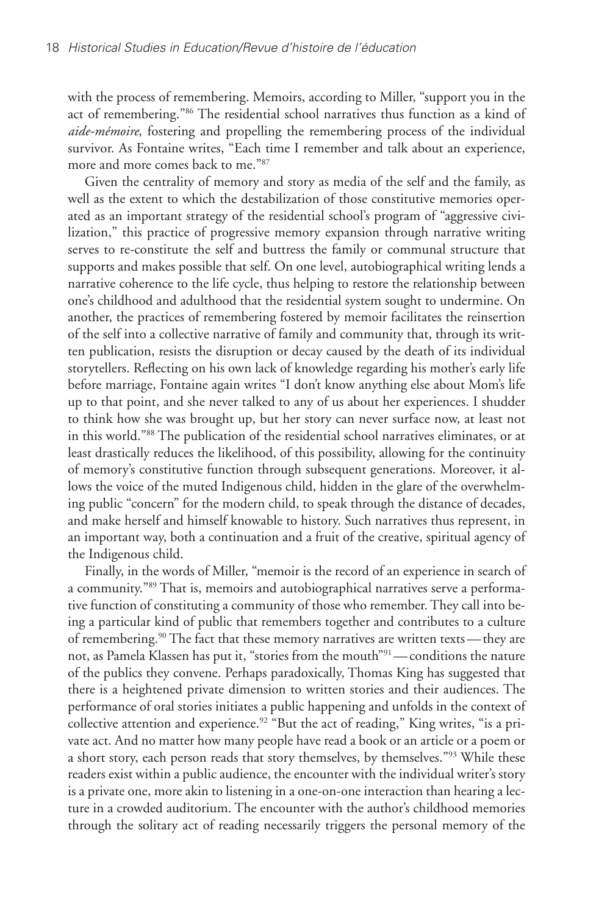with the process of remembering. Memoirs, according to Miller, "support you in the act of remembering."86 The residential school narratives thus function as a kind of *aide-mémoire*, fostering and propelling the remembering process of the individual survivor. As Fontaine writes, "Each time I remember and talk about an experience, more and more comes back to me."87

Given the centrality of memory and story as media of the self and the family, as well as the extent to which the destabilization of those constitutive memories operated as an important strategy of the residential school's program of "aggressive civilization," this practice of progressive memory expansion through narrative writing serves to re-constitute the self and buttress the family or communal structure that supports and makes possible that self. On one level, autobiographical writing lends a narrative coherence to the life cycle, thus helping to restore the relationship between one's childhood and adulthood that the residential system sought to undermine. On another, the practices of remembering fostered by memoir facilitates the reinsertion of the self into a collective narrative of family and community that, through its written publication, resists the disruption or decay caused by the death of its individual storytellers. Reflecting on his own lack of knowledge regarding his mother's early life before marriage, Fontaine again writes "I don't know anything else about Mom's life up to that point, and she never talked to any of us about her experiences. I shudder to think how she was brought up, but her story can never surface now, at least not in this world."88 The publication of the residential school narratives eliminates, or at least drastically reduces the likelihood, of this possibility, allowing for the continuity of memory's constitutive function through subsequent generations. Moreover, it allows the voice of the muted Indigenous child, hidden in the glare of the overwhelming public "concern" for the modern child, to speak through the distance of decades, and make herself and himself knowable to history. Such narratives thus represent, in an important way, both a continuation and a fruit of the creative, spiritual agency of the Indigenous child.

Finally, in the words of Miller, "memoir is the record of an experience in search of a community."89 That is, memoirs and autobiographical narratives serve a performative function of constituting a community of those who remember. They call into being a particular kind of public that remembers together and contributes to a culture of remembering.<sup>90</sup> The fact that these memory narratives are written texts—they are not, as Pamela Klassen has put it, "stories from the mouth"91—conditions the nature of the publics they convene. Perhaps paradoxically, Thomas King has suggested that there is a heightened private dimension to written stories and their audiences. The performance of oral stories initiates a public happening and unfolds in the context of collective attention and experience.<sup>92</sup> "But the act of reading," King writes, "is a private act. And no matter how many people have read a book or an article or a poem or a short story, each person reads that story themselves, by themselves."<sup>93</sup> While these readers exist within a public audience, the encounter with the individual writer's story is a private one, more akin to listening in a one-on-one interaction than hearing a lecture in a crowded auditorium. The encounter with the author's childhood memories through the solitary act of reading necessarily triggers the personal memory of the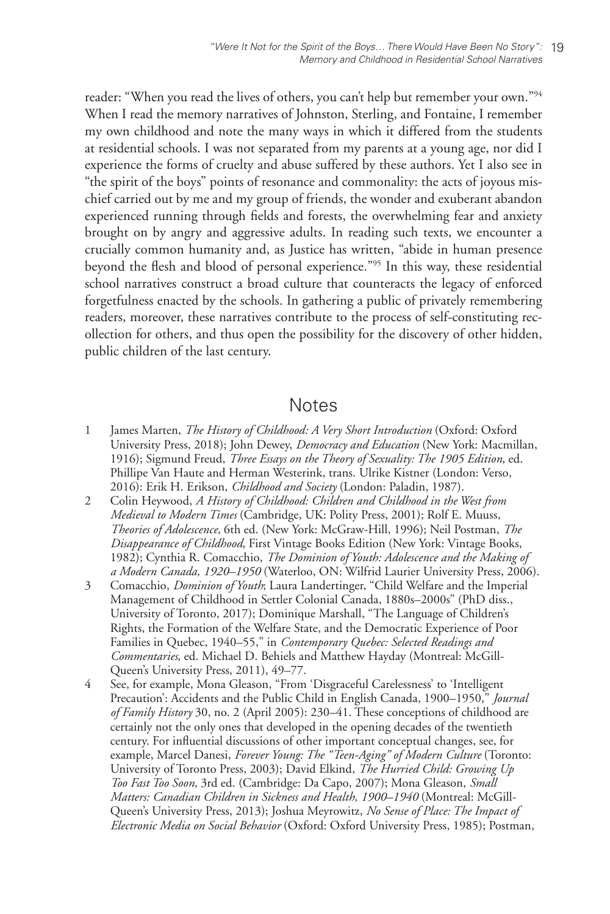reader: "When you read the lives of others, you can't help but remember your own."94 When I read the memory narratives of Johnston, Sterling, and Fontaine, I remember my own childhood and note the many ways in which it differed from the students at residential schools. I was not separated from my parents at a young age, nor did I experience the forms of cruelty and abuse suffered by these authors. Yet I also see in "the spirit of the boys" points of resonance and commonality: the acts of joyous mischief carried out by me and my group of friends, the wonder and exuberant abandon experienced running through fields and forests, the overwhelming fear and anxiety brought on by angry and aggressive adults. In reading such texts, we encounter a crucially common humanity and, as Justice has written, "abide in human presence beyond the flesh and blood of personal experience."95 In this way, these residential school narratives construct a broad culture that counteracts the legacy of enforced forgetfulness enacted by the schools. In gathering a public of privately remembering readers, moreover, these narratives contribute to the process of self-constituting recollection for others, and thus open the possibility for the discovery of other hidden, public children of the last century.

# **Notes**

- 1 James Marten, *The History of Childhood: A Very Short Introduction* (Oxford: Oxford University Press, 2018); John Dewey, *Democracy and Education* (New York: Macmillan, 1916); Sigmund Freud, *Three Essays on the Theory of Sexuality: The 1905 Edition*, ed. Phillipe Van Haute and Herman Westerink, trans. Ulrike Kistner (London: Verso, 2016): Erik H. Erikson, *Childhood and Society* (London: Paladin, 1987).
- 2 Colin Heywood, *A History of Childhood: Children and Childhood in the West from Medieval to Modern Times* (Cambridge, UK: Polity Press, 2001); Rolf E. Muuss, *Theories of Adolescence*, 6th ed. (New York: McGraw-Hill, 1996); Neil Postman, *The Disappearance of Childhood*, First Vintage Books Edition (New York: Vintage Books, 1982); Cynthia R. Comacchio, *The Dominion of Youth: Adolescence and the Making of a Modern Canada, 1920–1950* (Waterloo, ON: Wilfrid Laurier University Press, 2006).
- 3 Comacchio, *Dominion of Youth*; Laura Landertinger, "Child Welfare and the Imperial Management of Childhood in Settler Colonial Canada, 1880s–2000s" (PhD diss., University of Toronto, 2017); Dominique Marshall, "The Language of Children's Rights, the Formation of the Welfare State, and the Democratic Experience of Poor Families in Quebec, 1940–55," in *Contemporary Quebec: Selected Readings and Commentaries*, ed. Michael D. Behiels and Matthew Hayday (Montreal: McGill-Queen's University Press, 2011), 49–77.
- 4 See, for example, Mona Gleason, "From 'Disgraceful Carelessness' to 'Intelligent Precaution': Accidents and the Public Child in English Canada, 1900–1950," *Journal of Family History* 30, no. 2 (April 2005): 230–41. These conceptions of childhood are certainly not the only ones that developed in the opening decades of the twentieth century. For influential discussions of other important conceptual changes, see, for example, Marcel Danesi, *Forever Young: The "Teen-Aging" of Modern Culture* (Toronto: University of Toronto Press, 2003); David Elkind, *The Hurried Child: Growing Up Too Fast Too Soon*, 3rd ed. (Cambridge: Da Capo, 2007); Mona Gleason, *Small Matters: Canadian Children in Sickness and Health, 1900–1940* (Montreal: McGill-Queen's University Press, 2013); Joshua Meyrowitz, *No Sense of Place: The Impact of Electronic Media on Social Behavior* (Oxford: Oxford University Press, 1985); Postman,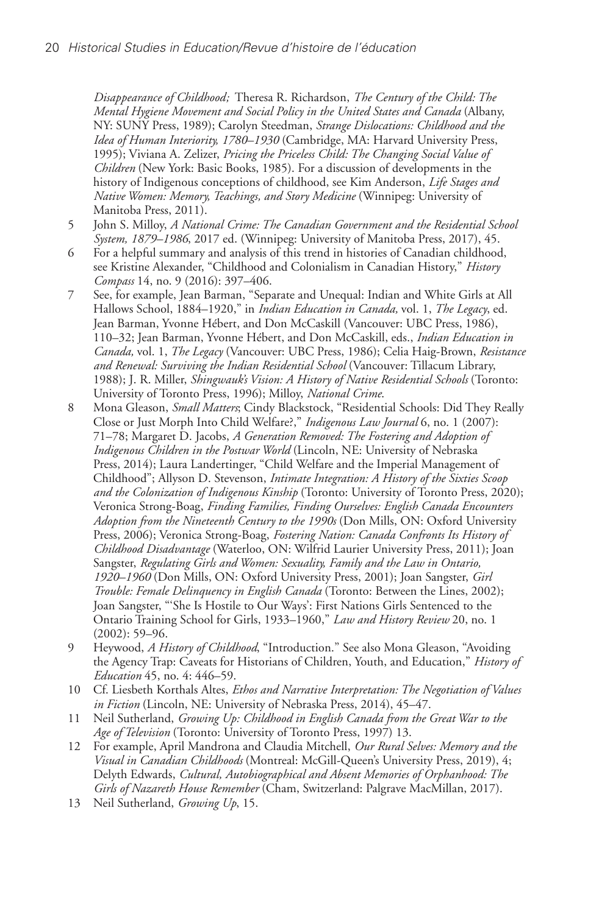*Disappearance of Childhood;* Theresa R. Richardson, *The Century of the Child: The Mental Hygiene Movement and Social Policy in the United States and Canada* (Albany, NY: SUNY Press, 1989); Carolyn Steedman, *Strange Dislocations: Childhood and the Idea of Human Interiority, 1780–1930* (Cambridge, MA: Harvard University Press, 1995); Viviana A. Zelizer, *Pricing the Priceless Child: The Changing Social Value of Children* (New York: Basic Books, 1985). For a discussion of developments in the history of Indigenous conceptions of childhood, see Kim Anderson, *Life Stages and Native Women: Memory, Teachings, and Story Medicine* (Winnipeg: University of Manitoba Press, 2011).

- 5 John S. Milloy, *A National Crime: The Canadian Government and the Residential School System, 1879–1986*, 2017 ed. (Winnipeg: University of Manitoba Press, 2017), 45.
- 6 For a helpful summary and analysis of this trend in histories of Canadian childhood, see Kristine Alexander, "Childhood and Colonialism in Canadian History," *History Compass* 14, no. 9 (2016): 397–406.
- 7 See, for example, Jean Barman, "Separate and Unequal: Indian and White Girls at All Hallows School, 1884–1920," in *Indian Education in Canada,* vol. 1, *The Legacy*, ed. Jean Barman, Yvonne Hébert, and Don McCaskill (Vancouver: UBC Press, 1986), 110–32; Jean Barman, Yvonne Hébert, and Don McCaskill, eds., *Indian Education in Canada,* vol. 1, *The Legacy* (Vancouver: UBC Press, 1986); Celia Haig-Brown, *Resistance and Renewal: Surviving the Indian Residential School* (Vancouver: Tillacum Library, 1988); J. R. Miller, *Shingwauk's Vision: A History of Native Residential Schools* (Toronto: University of Toronto Press, 1996); Milloy, *National Crime*.
- 8 Mona Gleason, *Small Matters*; Cindy Blackstock, "Residential Schools: Did They Really Close or Just Morph Into Child Welfare?," *Indigenous Law Journal* 6, no. 1 (2007): 71–78; Margaret D. Jacobs, *A Generation Removed: The Fostering and Adoption of Indigenous Children in the Postwar World* (Lincoln, NE: University of Nebraska Press, 2014); Laura Landertinger, "Child Welfare and the Imperial Management of Childhood"; Allyson D. Stevenson, *Intimate Integration: A History of the Sixties Scoop and the Colonization of Indigenous Kinship* (Toronto: University of Toronto Press, 2020); Veronica Strong-Boag, *Finding Families, Finding Ourselves: English Canada Encounters Adoption from the Nineteenth Century to the 1990s* (Don Mills, ON: Oxford University Press, 2006); Veronica Strong-Boag, *Fostering Nation: Canada Confronts Its History of Childhood Disadvantage* (Waterloo, ON: Wilfrid Laurier University Press, 2011); Joan Sangster, *Regulating Girls and Women: Sexuality, Family and the Law in Ontario, 1920–1960* (Don Mills, ON: Oxford University Press, 2001); Joan Sangster, *Girl Trouble: Female Delinquency in English Canada* (Toronto: Between the Lines, 2002); Joan Sangster, "'She Is Hostile to Our Ways': First Nations Girls Sentenced to the Ontario Training School for Girls, 1933–1960," *Law and History Review* 20, no. 1 (2002): 59–96.
- 9 Heywood, *A History of Childhood*, "Introduction." See also Mona Gleason, "Avoiding the Agency Trap: Caveats for Historians of Children, Youth, and Education," *History of Education* 45, no. 4: 446–59.
- 10 Cf. Liesbeth Korthals Altes, *Ethos and Narrative Interpretation: The Negotiation of Values in Fiction* (Lincoln, NE: University of Nebraska Press, 2014), 45–47.
- 11 Neil Sutherland, *Growing Up: Childhood in English Canada from the Great War to the Age of Television* (Toronto: University of Toronto Press, 1997) 13.
- 12 For example, April Mandrona and Claudia Mitchell, *Our Rural Selves: Memory and the Visual in Canadian Childhoods* (Montreal: McGill-Queen's University Press, 2019), 4; Delyth Edwards, *Cultural, Autobiographical and Absent Memories of Orphanhood: The Girls of Nazareth House Remember* (Cham, Switzerland: Palgrave MacMillan, 2017).
- 13 Neil Sutherland, *Growing Up*, 15.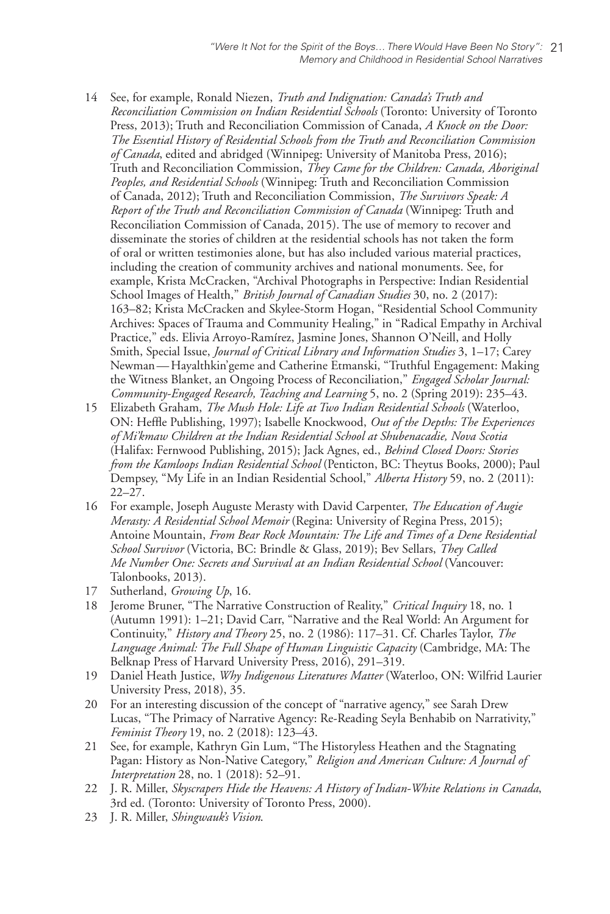- 14 See, for example, Ronald Niezen, *Truth and Indignation: Canada's Truth and Reconciliation Commission on Indian Residential Schools* (Toronto: University of Toronto Press, 2013); Truth and Reconciliation Commission of Canada, *A Knock on the Door: The Essential History of Residential Schools from the Truth and Reconciliation Commission of Canada*, edited and abridged (Winnipeg: University of Manitoba Press, 2016); Truth and Reconciliation Commission, *They Came for the Children: Canada, Aboriginal Peoples, and Residential Schools* (Winnipeg: Truth and Reconciliation Commission of Canada, 2012); Truth and Reconciliation Commission, *The Survivors Speak: A Report of the Truth and Reconciliation Commission of Canada* (Winnipeg: Truth and Reconciliation Commission of Canada, 2015). The use of memory to recover and disseminate the stories of children at the residential schools has not taken the form of oral or written testimonies alone, but has also included various material practices, including the creation of community archives and national monuments. See, for example, Krista McCracken, "Archival Photographs in Perspective: Indian Residential School Images of Health," *British Journal of Canadian Studies* 30, no. 2 (2017): 163–82; Krista McCracken and Skylee-Storm Hogan, "Residential School Community Archives: Spaces of Trauma and Community Healing," in "Radical Empathy in Archival Practice," eds. Elivia Arroyo-Ramírez, Jasmine Jones, Shannon O'Neill, and Holly Smith, Special Issue, *Journal of Critical Library and Information Studies* 3, 1–17; Carey Newman—Hayalthkin'geme and Catherine Etmanski, "Truthful Engagement: Making the Witness Blanket, an Ongoing Process of Reconciliation," *Engaged Scholar Journal: Community-Engaged Research, Teaching and Learning* 5, no. 2 (Spring 2019): 235–43.
- 15 Elizabeth Graham, *The Mush Hole: Life at Two Indian Residential Schools* (Waterloo, ON: Heffle Publishing, 1997); Isabelle Knockwood, *Out of the Depths: The Experiences of Mi'kmaw Children at the Indian Residential School at Shubenacadie, Nova Scotia* (Halifax: Fernwood Publishing, 2015); Jack Agnes, ed., *Behind Closed Doors: Stories from the Kamloops Indian Residential School* (Penticton, BC: Theytus Books, 2000); Paul Dempsey, "My Life in an Indian Residential School," *Alberta History* 59, no. 2 (2011): 22–27.
- 16 For example, Joseph Auguste Merasty with David Carpenter, *The Education of Augie Merasty: A Residential School Memoir* (Regina: University of Regina Press, 2015); Antoine Mountain, *From Bear Rock Mountain: The Life and Times of a Dene Residential School Survivor* (Victoria, BC: Brindle & Glass, 2019); Bev Sellars, *They Called Me Number One: Secrets and Survival at an Indian Residential School* (Vancouver: Talonbooks, 2013).
- 17 Sutherland, *Growing Up*, 16.
- 18 Jerome Bruner, "The Narrative Construction of Reality," *Critical Inquiry* 18, no. 1 (Autumn 1991): 1–21; David Carr, "Narrative and the Real World: An Argument for Continuity," *History and Theory* 25, no. 2 (1986): 117–31. Cf. Charles Taylor, *The Language Animal: The Full Shape of Human Linguistic Capacity* (Cambridge, MA: The Belknap Press of Harvard University Press, 2016), 291–319.
- 19 Daniel Heath Justice, *Why Indigenous Literatures Matter* (Waterloo, ON: Wilfrid Laurier University Press, 2018), 35.
- 20 For an interesting discussion of the concept of "narrative agency," see Sarah Drew Lucas, "The Primacy of Narrative Agency: Re-Reading Seyla Benhabib on Narrativity," *Feminist Theory* 19, no. 2 (2018): 123–43.
- 21 See, for example, Kathryn Gin Lum, "The Historyless Heathen and the Stagnating Pagan: History as Non-Native Category," *Religion and American Culture: A Journal of Interpretation* 28, no. 1 (2018): 52–91.
- 22 J. R. Miller, *Skyscrapers Hide the Heavens: A History of Indian-White Relations in Canada*, 3rd ed. (Toronto: University of Toronto Press, 2000).
- 23 J. R. Miller, *Shingwauk's Vision*.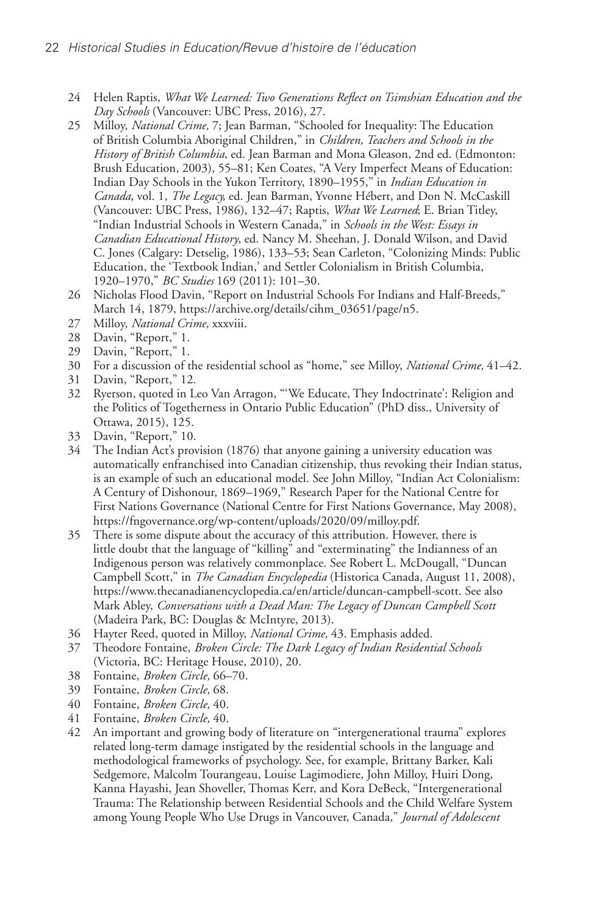- 24 Helen Raptis, *What We Learned: Two Generations Reflect on Tsimshian Education and the Day Schools* (Vancouver: UBC Press, 2016), 27.
- 25 Milloy, *National Crime,* 7; Jean Barman, "Schooled for Inequality: The Education of British Columbia Aboriginal Children," in *Children, Teachers and Schools in the History of British Columbia*, ed. Jean Barman and Mona Gleason, 2nd ed. (Edmonton: Brush Education, 2003), 55–81; Ken Coates, "A Very Imperfect Means of Education: Indian Day Schools in the Yukon Territory, 1890–1955," in *Indian Education in Canada*, vol. 1, *The Legacy,* ed. Jean Barman, Yvonne Hébert, and Don N. McCaskill (Vancouver: UBC Press, 1986), 132–47; Raptis, *What We Learned*; E. Brian Titley, "Indian Industrial Schools in Western Canada," in *Schools in the West: Essays in Canadian Educational History*, ed. Nancy M. Sheehan, J. Donald Wilson, and David C. Jones (Calgary: Detselig, 1986), 133–53; Sean Carleton, "Colonizing Minds: Public Education, the 'Textbook Indian,' and Settler Colonialism in British Columbia, 1920–1970," *BC Studies* 169 (2011): 101–30.
- 26 Nicholas Flood Davin, "Report on Industrial Schools For Indians and Half-Breeds," March 14, 1879, https://archive.org/details/cihm\_03651/page/n5.
- 27 Milloy, *National Crime,* xxxviii.
- 28 Davin, "Report," 1.
- 29 Davin, "Report," 1.
- 30 For a discussion of the residential school as "home," see Milloy, *National Crime,* 41–42.
- 31 Davin, "Report," 12.
- 32 Ryerson, quoted in Leo Van Arragon, "'We Educate, They Indoctrinate': Religion and the Politics of Togetherness in Ontario Public Education" (PhD diss., University of Ottawa, 2015), 125.
- 33 Davin, "Report," 10.
- 34 The Indian Act's provision (1876) that anyone gaining a university education was automatically enfranchised into Canadian citizenship, thus revoking their Indian status, is an example of such an educational model. See John Milloy, "Indian Act Colonialism: A Century of Dishonour, 1869–1969," Research Paper for the National Centre for First Nations Governance (National Centre for First Nations Governance, May 2008), https://fngovernance.org/wp-content/uploads/2020/09/milloy.pdf.
- 35 There is some dispute about the accuracy of this attribution. However, there is little doubt that the language of "killing" and "exterminating" the Indianness of an Indigenous person was relatively commonplace. See Robert L. McDougall, "Duncan Campbell Scott," in *The Canadian Encyclopedia* (Historica Canada, August 11, 2008), https://www.thecanadianencyclopedia.ca/en/article/duncan-campbell-scott. See also Mark Abley, *Conversations with a Dead Man: The Legacy of Duncan Campbell Scott* (Madeira Park, BC: Douglas & McIntyre, 2013).
- 36 Hayter Reed, quoted in Milloy, *National Crime,* 43. Emphasis added.
- 37 Theodore Fontaine, *Broken Circle: The Dark Legacy of Indian Residential Schools* (Victoria, BC: Heritage House, 2010), 20.
- 38 Fontaine, *Broken Circle,* 66–70.
- 39 Fontaine, *Broken Circle,* 68.
- 40 Fontaine, *Broken Circle,* 40.
- 41 Fontaine, *Broken Circle,* 40.
- 42 An important and growing body of literature on "intergenerational trauma" explores related long-term damage instigated by the residential schools in the language and methodological frameworks of psychology. See, for example, Brittany Barker, Kali Sedgemore, Malcolm Tourangeau, Louise Lagimodiere, John Milloy, Huiri Dong, Kanna Hayashi, Jean Shoveller, Thomas Kerr, and Kora DeBeck, "Intergenerational Trauma: The Relationship between Residential Schools and the Child Welfare System among Young People Who Use Drugs in Vancouver, Canada," *Journal of Adolescent*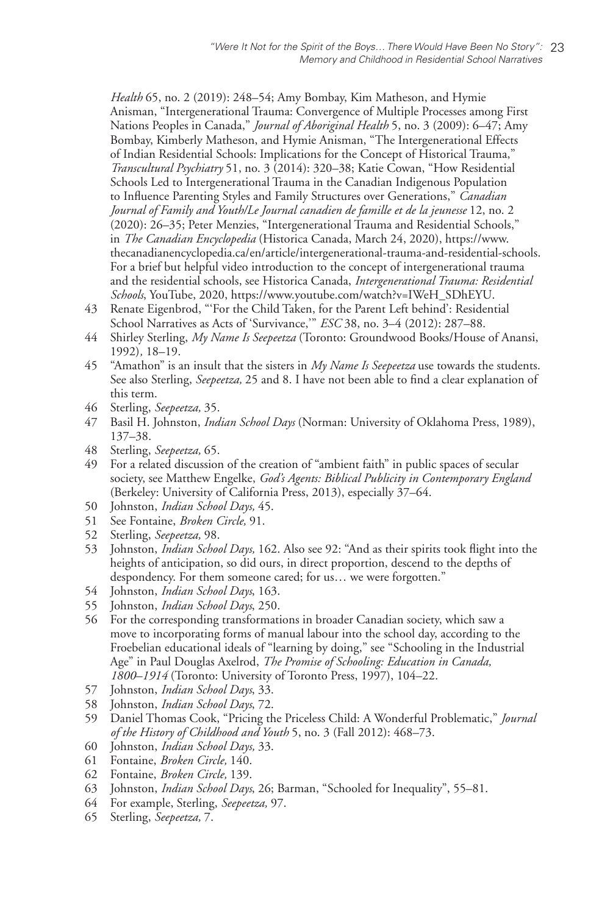*Health* 65, no. 2 (2019): 248–54; Amy Bombay, Kim Matheson, and Hymie Anisman, "Intergenerational Trauma: Convergence of Multiple Processes among First Nations Peoples in Canada," *Journal of Aboriginal Health* 5, no. 3 (2009): 6–47; Amy Bombay, Kimberly Matheson, and Hymie Anisman, "The Intergenerational Effects of Indian Residential Schools: Implications for the Concept of Historical Trauma," *Transcultural Psychiatry* 51, no. 3 (2014): 320–38; Katie Cowan, "How Residential Schools Led to Intergenerational Trauma in the Canadian Indigenous Population to Influence Parenting Styles and Family Structures over Generations," *Canadian Journal of Family and Youth/Le Journal canadien de famille et de la jeunesse* 12, no. 2 (2020): 26–35; Peter Menzies, "Intergenerational Trauma and Residential Schools," in *The Canadian Encyclopedia* (Historica Canada, March 24, 2020), https://www. thecanadianencyclopedia.ca/en/article/intergenerational-trauma-and-residential-schools. For a brief but helpful video introduction to the concept of intergenerational trauma and the residential schools, see Historica Canada, *Intergenerational Trauma: Residential Schools*, YouTube, 2020, https://www.youtube.com/watch?v=IWeH\_SDhEYU.

- 43 Renate Eigenbrod, "'For the Child Taken, for the Parent Left behind': Residential School Narratives as Acts of 'Survivance,'" *ESC* 38, no. 3–4 (2012): 287–88.
- 44 Shirley Sterling, *My Name Is Seepeetza* (Toronto: Groundwood Books/House of Anansi, 1992)*,* 18–19.
- 45 "Amathon" is an insult that the sisters in *My Name Is Seepeetza* use towards the students. See also Sterling, *Seepeetza,* 25 and 8. I have not been able to find a clear explanation of this term.
- 46 Sterling, *Seepeetza,* 35.
- 47 Basil H. Johnston, *Indian School Days* (Norman: University of Oklahoma Press, 1989), 137–38.
- 48 Sterling, *Seepeetza,* 65.
- 49 For a related discussion of the creation of "ambient faith" in public spaces of secular society, see Matthew Engelke, *God's Agents: Biblical Publicity in Contemporary England* (Berkeley: University of California Press, 2013), especially 37–64.
- 50 Johnston, *Indian School Days,* 45.
- 51 See Fontaine, *Broken Circle,* 91.
- 52 Sterling, *Seepeetza,* 98.
- 53 Johnston, *Indian School Days,* 162. Also see 92: "And as their spirits took flight into the heights of anticipation, so did ours, in direct proportion, descend to the depths of despondency. For them someone cared; for us… we were forgotten."
- 54 Johnston, *Indian School Days*, 163.
- 55 Johnston, *Indian School Days*, 250.
- 56 For the corresponding transformations in broader Canadian society, which saw a move to incorporating forms of manual labour into the school day, according to the Froebelian educational ideals of "learning by doing," see "Schooling in the Industrial Age" in Paul Douglas Axelrod, *The Promise of Schooling: Education in Canada, 1800–1914* (Toronto: University of Toronto Press, 1997), 104–22.
- 57 Johnston, *Indian School Days*, 33.
- 58 Johnston, *Indian School Days*, 72.
- 59 Daniel Thomas Cook, "Pricing the Priceless Child: A Wonderful Problematic," *Journal of the History of Childhood and Youth* 5, no. 3 (Fall 2012): 468–73.
- 60 Johnston, *Indian School Days,* 33.
- 61 Fontaine, *Broken Circle,* 140.
- 62 Fontaine, *Broken Circle,* 139.
- 63 Johnston, *Indian School Days*, 26; Barman, "Schooled for Inequality", 55–81.
- 64 For example, Sterling, *Seepeetza,* 97.
- 65 Sterling, *Seepeetza,* 7.